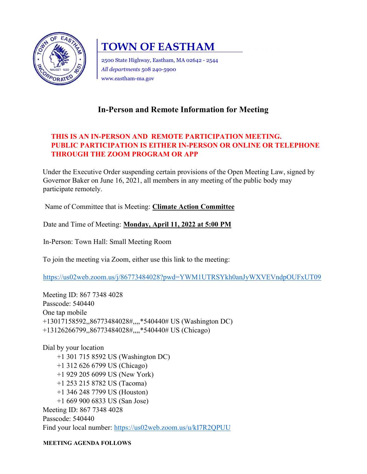

# TOWN OF EASTHAM

2500 State Highway, Eastham, MA 02642 - 2544 All departments 508 240-5900 www.eastham-ma.gov

## In-Person and Remote Information for Meeting

### THIS IS AN IN-PERSON AND REMOTE PARTICIPATION MEETING. PUBLIC PARTICIPATION IS EITHER IN-PERSON OR ONLINE OR TELEPHONE THROUGH THE ZOOM PROGRAM OR APP

Under the Executive Order suspending certain provisions of the Open Meeting Law, signed by Governor Baker on June 16, 2021, all members in any meeting of the public body may participate remotely.

Name of Committee that is Meeting: Climate Action Committee

Date and Time of Meeting: Monday, April 11, 2022 at 5:00 PM

In-Person: Town Hall: Small Meeting Room

To join the meeting via Zoom, either use this link to the meeting:

https://us02web.zoom.us/j/86773484028?pwd=YWM1UTRSYkh0anJyWXVEVndpOUFxUT09

Meeting ID: 867 7348 4028 Passcode: 540440 One tap mobile +13017158592,,86773484028#,,,,\*540440# US (Washington DC) +13126266799,,86773484028#,,,,\*540440# US (Chicago)

Dial by your location +1 301 715 8592 US (Washington DC) +1 312 626 6799 US (Chicago) +1 929 205 6099 US (New York) +1 253 215 8782 US (Tacoma) +1 346 248 7799 US (Houston) +1 669 900 6833 US (San Jose) Meeting ID: 867 7348 4028 Passcode: 540440 Find your local number: https://us02web.zoom.us/u/kI7R2QPUU

MEETING AGENDA FOLLOWS